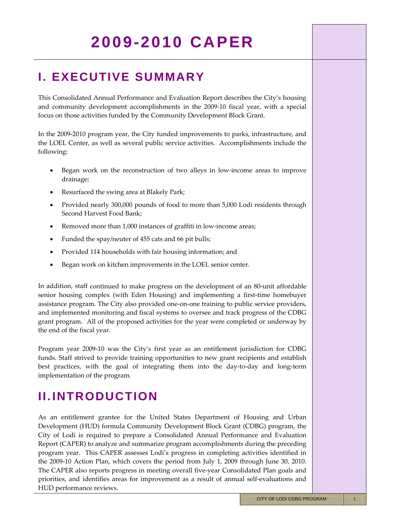### **I. EXECUTIVE SUMMARY**

This Consolidated Annual Performance and Evaluation Report describes the City's housing and community development accomplishments in the 2009‐10 fiscal year, with a special focus on those activities funded by the Community Development Block Grant.

In the 2009–2010 program year, the City funded improvements to parks, infrastructure, and the LOEL Center, as well as several public service activities. Accomplishments include the following:

- Began work on the reconstruction of two alleys in low-income areas to improve drainage;
- Resurfaced the swing area at Blakely Park;
- Provided nearly 300,000 pounds of food to more than 5,000 Lodi residents through Second Harvest Food Bank;
- Removed more than 1,000 instances of graffiti in low-income areas;
- Funded the spay/neuter of 455 cats and 66 pit bulls;
- Provided 114 households with fair housing information; and
- Began work on kitchen improvements in the LOEL senior center.

In addition, staff continued to make progress on the development of an 80‐unit affordable senior housing complex (with Eden Housing) and implementing a first-time homebuyer assistance program. The City also provided one‐on‐one training to public service providers, and implemented monitoring and fiscal systems to oversee and track progress of the CDBG grant program. All of the proposed activities for the year were completed or underway by the end of the fiscal year.

Program year 2009‐10 was the City's first year as an entitlement jurisdiction for CDBG funds. Staff strived to provide training opportunities to new grant recipients and establish best practices, with the goal of integrating them into the day‐to‐day and long‐term implementation of the program.

## **II. INTRODUCTION**

As an entitlement grantee for the United States Department of Housing and Urban Development (HUD) formula Community Development Block Grant (CDBG) program, the City of Lodi is required to prepare a Consolidated Annual Performance and Evaluation Report (CAPER) to analyze and summarize program accomplishments during the preceding program year. This CAPER assesses Lodi's progress in completing activities identified in the 2009‐10 Action Plan, which covers the period from July 1, 2009 through June 30, 2010. The CAPER also reports progress in meeting overall five‐year Consolidated Plan goals and priorities, and identifies areas for improvement as a result of annual self‐evaluations and HUD performance reviews.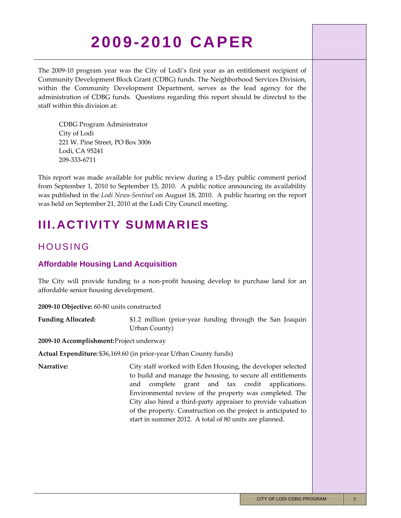The 2009-10 program year was the City of Lodi's first year as an entitlement recipient of Community Development Block Grant (CDBG) funds. The Neighborhood Services Division, within the Community Development Department, serves as the lead agency for the administration of CDBG funds. Questions regarding this report should be directed to the staff within this division at:

CDBG Program Administrator City of Lodi 221 W. Pine Street, PO Box 3006 Lodi, CA 95241 209‐333‐6711

This report was made available for public review during a 15‐day public comment period from September 1, 2010 to September 15, 2010. A public notice announcing its availability was published in the *Lodi News‐Sentinel* on August 18, 2010. A public hearing on the report was held on September 21, 2010 at the Lodi City Council meeting.

### **III. ACTIVITY SUMMARIES**

### HOUSING

### **Affordable Housing Land Acquisition**

The City will provide funding to a non-profit housing develop to purchase land for an affordable senior housing development.

**2009‐10 Objective:** 60‐80 units constructed

**Funding Allocated:** \$1.2 million (prior‐year funding through the San Joaquin Urban County)

**2009‐10 Accomplishment:** Project underway

**Actual Expenditure:** \$36,169.60 (in prior‐year Urban County funds)

**Narrative:** City staff worked with Eden Housing, the developer selected to build and manage the housing, to secure all entitlements and complete grant and tax credit applications. Environmental review of the property was completed. The City also hired a third‐party appraiser to provide valuation of the property. Construction on the project is anticipated to start in summer 2012. A total of 80 units are planned.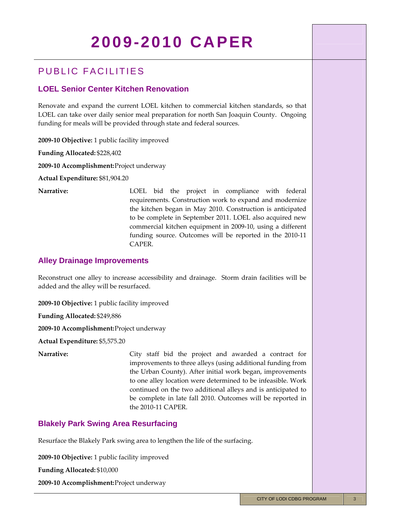### PUBLIC FACILITIES

### **LOEL Senior Center Kitchen Renovation**

Renovate and expand the current LOEL kitchen to commercial kitchen standards, so that LOEL can take over daily senior meal preparation for north San Joaquin County. Ongoing funding for meals will be provided through state and federal sources.

**2009‐10 Objective:** 1 public facility improved

**Funding Allocated:** \$228,402

**2009‐10 Accomplishment:** Project underway

**Actual Expenditure:** \$81,904.20

**Narrative:** LOEL bid the project in compliance with federal requirements. Construction work to expand and modernize the kitchen began in May 2010. Construction is anticipated to be complete in September 2011. LOEL also acquired new commercial kitchen equipment in 2009‐10, using a different funding source. Outcomes will be reported in the 2010‐11 CAPER.

### **Alley Drainage Improvements**

Reconstruct one alley to increase accessibility and drainage. Storm drain facilities will be added and the alley will be resurfaced.

**2009‐10 Objective:** 1 public facility improved

**Funding Allocated:** \$249,886

**2009‐10 Accomplishment:** Project underway

**Actual Expenditure:** \$5,575.20

**Narrative:** City staff bid the project and awarded a contract for improvements to three alleys (using additional funding from the Urban County). After initial work began, improvements to one alley location were determined to be infeasible. Work continued on the two additional alleys and is anticipated to be complete in late fall 2010. Outcomes will be reported in the 2010‐11 CAPER.

### **Blakely Park Swing Area Resurfacing**

Resurface the Blakely Park swing area to lengthen the life of the surfacing.

**2009‐10 Objective:** 1 public facility improved

**Funding Allocated:** \$10,000

**2009‐10 Accomplishment:** Project underway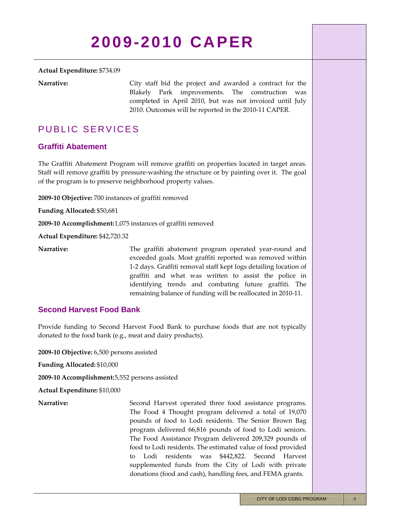#### **Actual Expenditure:** \$734.09

**Narrative:** City staff bid the project and awarded a contract for the Blakely Park improvements. The construction was completed in April 2010, but was not invoiced until July 2010. Outcomes will be reported in the 2010‐11 CAPER.

### PUBLIC SERVICES

### **Graffiti Abatement**

The Graffiti Abatement Program will remove graffiti on properties located in target areas. Staff will remove graffiti by pressure-washing the structure or by painting over it. The goal of the program is to preserve neighborhood property values.

**2009‐10 Objective:** 700 instances of graffiti removed

**Funding Allocated:** \$50,681

**2009‐10 Accomplishment:** 1,075 instances of graffiti removed

**Actual Expenditure:** \$42,720.32

**Narrative:** The graffiti abatement program operated year-round and exceeded goals. Most graffiti reported was removed within 1‐2 days. Graffiti removal staff kept logs detailing location of graffiti and what was written to assist the police in identifying trends and combating future graffiti. The remaining balance of funding will be reallocated in 2010‐11.

### **Second Harvest Food Bank**

Provide funding to Second Harvest Food Bank to purchase foods that are not typically donated to the food bank (e.g., meat and dairy products).

**2009‐10 Objective:** 6,500 persons assisted

**Funding Allocated:** \$10,000

**2009‐10 Accomplishment:** 5,552 persons assisted

**Actual Expenditure:** \$10,000

Narrative: Second Harvest operated three food assistance programs. The Food 4 Thought program delivered a total of 19,070 pounds of food to Lodi residents. The Senior Brown Bag program delivered 66,816 pounds of food to Lodi seniors. The Food Assistance Program delivered 209,329 pounds of food to Lodi residents. The estimated value of food provided to Lodi residents was \$442,822. Second Harvest supplemented funds from the City of Lodi with private donations (food and cash), handling fees, and FEMA grants.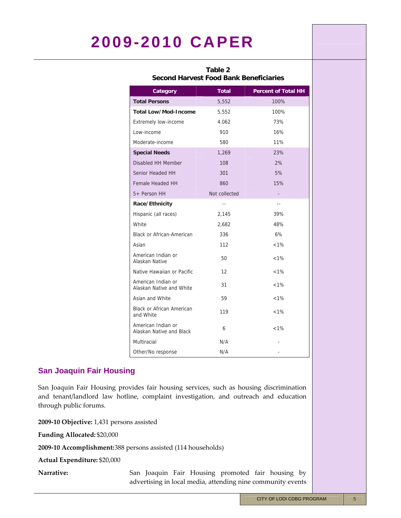| Table 2<br><b>Second Harvest Food Bank Beneficiaries</b> |               |                            |
|----------------------------------------------------------|---------------|----------------------------|
| Category                                                 | <b>Total</b>  | <b>Percent of Total HH</b> |
| <b>Total Persons</b>                                     | 5,552         | 100%                       |
| <b>Total Low/Mod-Income</b>                              | 5,552         | 100%                       |
| <b>Extremely low-income</b>                              | 4.062         | 73%                        |
| Low-income                                               | 910           | 16%                        |
| Moderate-income                                          | 580           | 11%                        |
| <b>Special Needs</b>                                     | 1,269         | 23%                        |
| Disabled HH Member                                       | 108           | 2%                         |
| Senior Headed HH                                         | 301           | 5%                         |
| Female Headed HH                                         | 860           | 15%                        |
| 5+ Person HH                                             | Not collected | -                          |
| Race/Ethnicity                                           | $-$           | --                         |
| Hispanic (all races)                                     | 2,145         | 39%                        |
| White                                                    | 2,682         | 48%                        |
| <b>Black or African-American</b>                         | 336           | 6%                         |
| Asian                                                    | 112           | $< 1\%$                    |
| American Indian or<br>Alaskan Native                     | 50            | $< 1\%$                    |
| Native Hawaiian or Pacific                               | 12            | $< 1\%$                    |
| American Indian or<br>Alaskan Native and White           | 31            | $< 1\%$                    |
| Asian and White                                          | 59            | $< 1\%$                    |
| <b>Black or African American</b><br>and White            | 119           | $< 1\%$                    |
| American Indian or<br>Alaskan Native and Black           | 6             | $< 1\%$                    |
| Multiracial                                              | N/A           |                            |
| Other/No response                                        | N/A           |                            |

### **San Joaquin Fair Housing**

San Joaquin Fair Housing provides fair housing services, such as housing discrimination and tenant/landlord law hotline, complaint investigation, and outreach and education through public forums.

**2009‐10 Objective:** 1,431 persons assisted

**Funding Allocated:** \$20,000

**2009‐10 Accomplishment:** 388 persons assisted (114 households)

**Actual Expenditure:** \$20,000

Narrative: San Joaquin Fair Housing promoted fair housing by advertising in local media, attending nine community events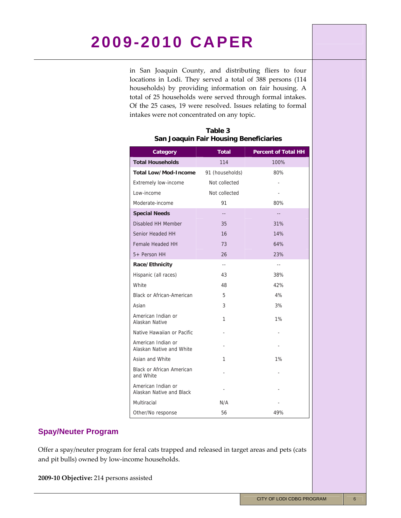in San Joaquin County, and distributing fliers to four locations in Lodi. They served a total of 388 persons (114 households) by providing information on fair housing. A total of 25 households were served through formal intakes. Of the 25 cases, 19 were resolved. Issues relating to formal intakes were not concentrated on any topic.

| Category                                       | <b>Total</b>    | <b>Percent of Total HH</b> |
|------------------------------------------------|-----------------|----------------------------|
| <b>Total Households</b>                        | 114             | 100%                       |
| Total Low/Mod-Income                           | 91 (households) | 80%                        |
| <b>Extremely low-income</b>                    | Not collected   |                            |
| Low-income                                     | Not collected   |                            |
| Moderate-income                                | 91              | 80%                        |
| <b>Special Needs</b>                           | --              | $-$                        |
| Disabled HH Member                             | 35              | 31%                        |
| Senior Headed HH                               | 16              | 14%                        |
| Female Headed HH                               | 73              | 64%                        |
| 5+ Person HH                                   | 26              | 23%                        |
| Race/Ethnicity                                 | $- -$           | $\sim$ $\sim$              |
| Hispanic (all races)                           | 43              | 38%                        |
| White                                          | 48              | 42%                        |
| <b>Black or African-American</b>               | 5               | 4%                         |
| Asian                                          | 3               | 3%                         |
| American Indian or<br>Alaskan Native           | 1               | 1%                         |
| Native Hawaiian or Pacific                     |                 |                            |
| American Indian or<br>Alaskan Native and White |                 |                            |
| Asian and White                                | 1               | 1%                         |
| <b>Black or African American</b><br>and White  |                 |                            |
| American Indian or<br>Alaskan Native and Black |                 |                            |
| Multiracial                                    | N/A             |                            |
| Other/No response                              | 56              | 49%                        |

### **Table 3 San Joaquin Fair Housing Beneficiaries**

### **Spay/Neuter Program**

Offer a spay/neuter program for feral cats trapped and released in target areas and pets (cats and pit bulls) owned by low‐income households.

**2009‐10 Objective:** 214 persons assisted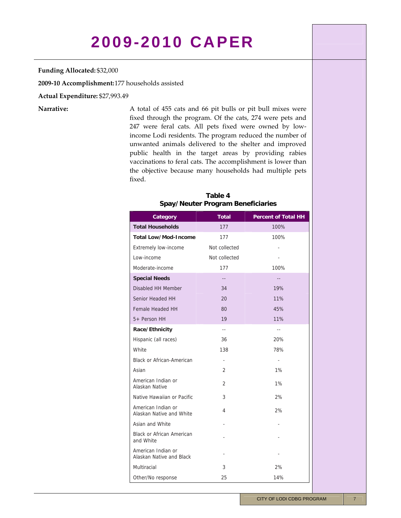#### **Funding Allocated:** \$32,000

**2009‐10 Accomplishment:** 177 households assisted

**Actual Expenditure:** \$27,993.49

Narrative: A total of 455 cats and 66 pit bulls or pit bull mixes were fixed through the program. Of the cats, 274 were pets and 247 were feral cats. All pets fixed were owned by low‐ income Lodi residents. The program reduced the number of unwanted animals delivered to the shelter and improved public health in the target areas by providing rabies vaccinations to feral cats. The accomplishment is lower than the objective because many households had multiple pets fixed.

### **Table 4 Spay/Neuter Program Beneficiaries**

| Category                                       | <b>Total</b>             | <b>Percent of Total HH</b> |
|------------------------------------------------|--------------------------|----------------------------|
| <b>Total Households</b>                        | 177                      | 100%                       |
| Total Low/Mod-Income                           | 177                      | 100%                       |
| <b>Extremely low-income</b>                    | Not collected            |                            |
| Low-income                                     | Not collected            |                            |
| Moderate-income                                | 177                      | 100%                       |
| <b>Special Needs</b>                           |                          |                            |
| Disabled HH Member                             | 34                       | 19%                        |
| Senior Headed HH                               | 20                       | 11%                        |
| Female Headed HH                               | 80                       | 45%                        |
| 5+ Person HH                                   | 19                       | 11%                        |
| Race/Ethnicity                                 | $\overline{a}$           | $\overline{a}$             |
| Hispanic (all races)                           | 36                       | 20%                        |
| White                                          | 138                      | 78%                        |
| <b>Black or African-American</b>               | $\overline{\phantom{a}}$ | $\blacksquare$             |
| Asian                                          | 2                        | 1%                         |
| American Indian or<br>Alaskan Native           | $\overline{2}$           | 1%                         |
| Native Hawaiian or Pacific                     | 3                        | 2%                         |
| American Indian or<br>Alaskan Native and White | 4                        | 2%                         |
| Asian and White                                |                          |                            |
| <b>Black or African American</b><br>and White  |                          |                            |
| American Indian or<br>Alaskan Native and Black |                          |                            |
| Multiracial                                    | 3                        | 2%                         |
| Other/No response                              | 25                       | 14%                        |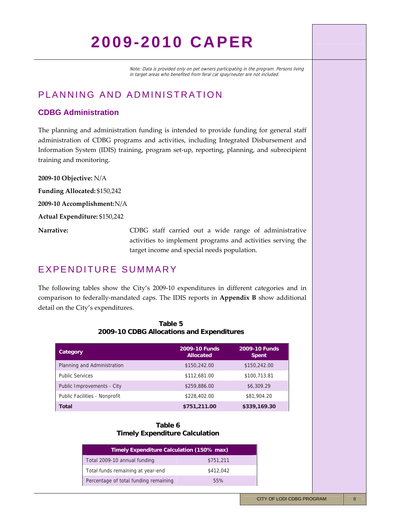Note: Data is provided only on pet owners participating in the program. Persons living in target areas who benefited from feral cat spay/neuter are not included.

### PLANNING AND ADMINISTRATION

### **CDBG Administration**

The planning and administration funding is intended to provide funding for general staff administration of CDBG programs and activities, including Integrated Disbursement and Information System (IDIS) training, program set‐up, reporting, planning, and subrecipient training and monitoring.

**2009‐10 Objective:** N/A **Funding Allocated:** \$150,242 **2009‐10 Accomplishment:** N/A **Actual Expenditure:** \$150,242 **Narrative:** CDBG staff carried out a wide range of administrative activities to implement programs and activities serving the target income and special needs population.

### EXPENDITURE SUMMARY

The following tables show the City's 2009-10 expenditures in different categories and in comparison to federally‐mandated caps. The IDIS reports in **Appendix B** show additional detail on the City's expenditures.

| Category                      | <b>2009-10 Funds</b><br><b>Allocated</b> | 2009-10 Funds<br><b>Spent</b> |
|-------------------------------|------------------------------------------|-------------------------------|
| Planning and Administration   | \$150,242.00                             | \$150,242.00                  |
| <b>Public Services</b>        | \$112,681.00                             | \$100,713.81                  |
| Public Improvements - City    | \$259,886.00                             | \$6,309.29                    |
| Public Facilities - Nonprofit | \$228,402.00                             | \$81,904.20                   |
| <b>Total</b>                  | \$751,211.00                             | \$339,169.30                  |

### **Table 5 2009-10 CDBG Allocations and Expenditures**

#### **Table 6 Timely Expenditure Calculation**

| Timely Expenditure Calculation (150% max) |           |
|-------------------------------------------|-----------|
| Total 2009-10 annual funding              | \$751,211 |
| Total funds remaining at year-end         | \$412,042 |
| Percentage of total funding remaining     | 55%       |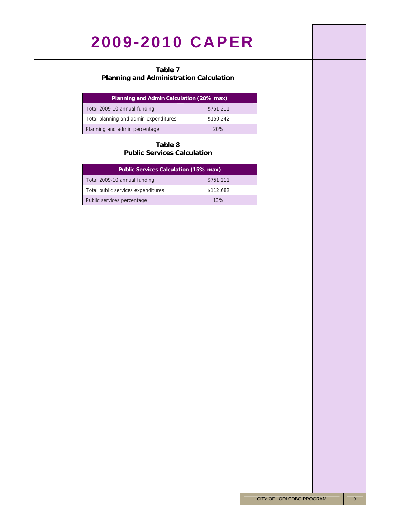### **Table 7**

### **Planning and Administration Calculation**

| Planning and Admin Calculation (20% max) |           |
|------------------------------------------|-----------|
| Total 2009-10 annual funding             | \$751,211 |
| Total planning and admin expenditures    | \$150,242 |
| Planning and admin percentage            | 20%       |

### **Table 8 Public Services Calculation**

| Public Services Calculation (15% max) |           |
|---------------------------------------|-----------|
| Total 2009-10 annual funding          | \$751,211 |
| Total public services expenditures    | \$112,682 |
| Public services percentage            | 13%       |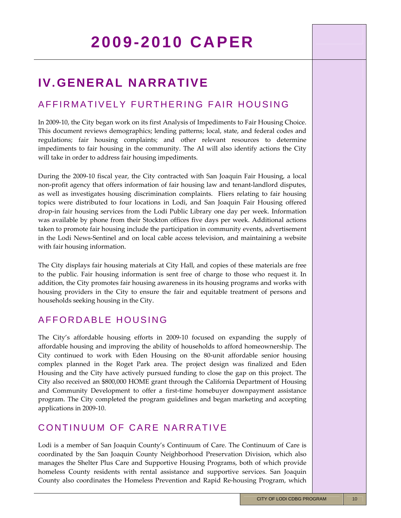## **IV. GENERAL NARRATIVE**

### AFFIRMATIVELY FURTHERING FAIR HOUSING

In 2009-10, the City began work on its first Analysis of Impediments to Fair Housing Choice. This document reviews demographics; lending patterns; local, state, and federal codes and regulations; fair housing complaints; and other relevant resources to determine impediments to fair housing in the community. The AI will also identify actions the City will take in order to address fair housing impediments.

During the 2009‐10 fiscal year, the City contracted with San Joaquin Fair Housing, a local non‐profit agency that offers information of fair housing law and tenant‐landlord disputes, as well as investigates housing discrimination complaints. Fliers relating to fair housing topics were distributed to four locations in Lodi, and San Joaquin Fair Housing offered drop-in fair housing services from the Lodi Public Library one day per week. Information was available by phone from their Stockton offices five days per week. Additional actions taken to promote fair housing include the participation in community events, advertisement in the Lodi News‐Sentinel and on local cable access television, and maintaining a website with fair housing information.

The City displays fair housing materials at City Hall, and copies of these materials are free to the public. Fair housing information is sent free of charge to those who request it. In addition, the City promotes fair housing awareness in its housing programs and works with housing providers in the City to ensure the fair and equitable treatment of persons and households seeking housing in the City.

### AFFORDABLE HOUSING

The City's affordable housing efforts in 2009-10 focused on expanding the supply of affordable housing and improving the ability of households to afford homeownership. The City continued to work with Eden Housing on the 80‐unit affordable senior housing complex planned in the Roget Park area. The project design was finalized and Eden Housing and the City have actively pursued funding to close the gap on this project. The City also received an \$800,000 HOME grant through the California Department of Housing and Community Development to offer a first-time homebuyer downpayment assistance program. The City completed the program guidelines and began marketing and accepting applications in 2009‐10.

### CONTINUUM OF CARE NARRATIVE

Lodi is a member of San Joaquin County's Continuum of Care. The Continuum of Care is coordinated by the San Joaquin County Neighborhood Preservation Division, which also manages the Shelter Plus Care and Supportive Housing Programs, both of which provide homeless County residents with rental assistance and supportive services. San Joaquin County also coordinates the Homeless Prevention and Rapid Re‐housing Program, which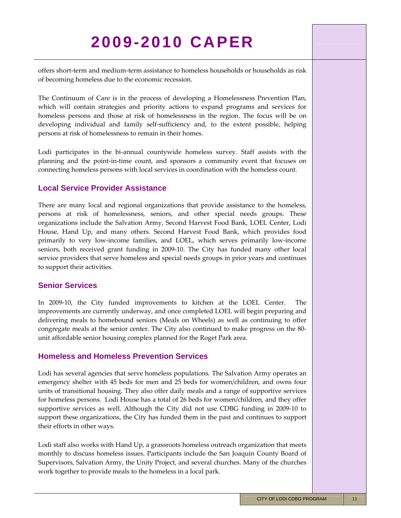offers short‐term and medium‐term assistance to homeless households or households as risk of becoming homeless due to the economic recession.

The Continuum of Care is in the process of developing a Homelessness Prevention Plan, which will contain strategies and priority actions to expand programs and services for homeless persons and those at risk of homelessness in the region. The focus will be on developing individual and family self‐sufficiency and, to the extent possible, helping persons at risk of homelessness to remain in their homes.

Lodi participates in the bi-annual countywide homeless survey. Staff assists with the planning and the point‐in‐time count, and sponsors a community event that focuses on connecting homeless persons with local services in coordination with the homeless count.

### **Local Service Provider Assistance**

There are many local and regional organizations that provide assistance to the homeless, persons at risk of homelessness, seniors, and other special needs groups. These organizations include the Salvation Army, Second Harvest Food Bank, LOEL Center, Lodi House, Hand Up, and many others. Second Harvest Food Bank, which provides food primarily to very low‐income families, and LOEL, which serves primarily low‐income seniors, both received grant funding in 2009-10. The City has funded many other local service providers that serve homeless and special needs groups in prior years and continues to support their activities.

### **Senior Services**

In 2009-10, the City funded improvements to kitchen at the LOEL Center. The improvements are currently underway, and once completed LOEL will begin preparing and delivering meals to homebound seniors (Meals on Wheels) as well as continuing to offer congregate meals at the senior center. The City also continued to make progress on the 80‐ unit affordable senior housing complex planned for the Roget Park area.

### **Homeless and Homeless Prevention Services**

Lodi has several agencies that serve homeless populations. The Salvation Army operates an emergency shelter with 45 beds for men and 25 beds for women/children, and owns four units of transitional housing. They also offer daily meals and a range of supportive services for homeless persons. Lodi House has a total of 26 beds for women/children, and they offer supportive services as well. Although the City did not use CDBG funding in 2009‐10 to support these organizations, the City has funded them in the past and continues to support their efforts in other ways.

Lodi staff also works with Hand Up, a grassroots homeless outreach organization that meets monthly to discuss homeless issues. Participants include the San Joaquin County Board of Supervisors, Salvation Army, the Unity Project, and several churches. Many of the churches work together to provide meals to the homeless in a local park.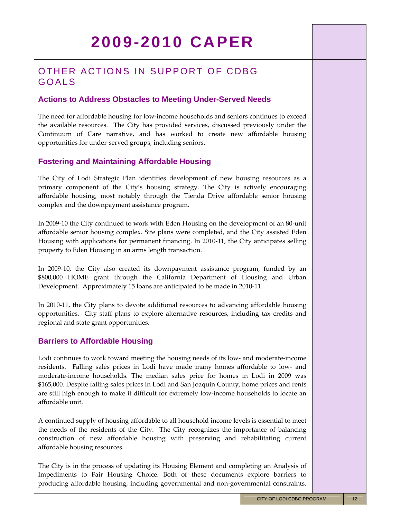### OTHER ACTIONS IN SUPPORT OF CDBG GOALS

### **Actions to Address Obstacles to Meeting Under-Served Needs**

The need for affordable housing for low-income households and seniors continues to exceed the available resources. The City has provided services, discussed previously under the Continuum of Care narrative, and has worked to create new affordable housing opportunities for under‐served groups, including seniors.

### **Fostering and Maintaining Affordable Housing**

The City of Lodi Strategic Plan identifies development of new housing resources as a primary component of the City's housing strategy. The City is actively encouraging affordable housing, most notably through the Tienda Drive affordable senior housing complex and the downpayment assistance program.

In 2009‐10 the City continued to work with Eden Housing on the development of an 80‐unit affordable senior housing complex. Site plans were completed, and the City assisted Eden Housing with applications for permanent financing. In 2010‐11, the City anticipates selling property to Eden Housing in an arms length transaction.

In 2009-10, the City also created its downpayment assistance program, funded by an \$800,000 HOME grant through the California Department of Housing and Urban Development. Approximately 15 loans are anticipated to be made in 2010‐11.

In 2010‐11, the City plans to devote additional resources to advancing affordable housing opportunities. City staff plans to explore alternative resources, including tax credits and regional and state grant opportunities.

### **Barriers to Affordable Housing**

Lodi continues to work toward meeting the housing needs of its low‐ and moderate‐income residents. Falling sales prices in Lodi have made many homes affordable to low‐ and moderate-income households. The median sales price for homes in Lodi in 2009 was \$165,000. Despite falling sales prices in Lodi and San Joaquin County, home prices and rents are still high enough to make it difficult for extremely low‐income households to locate an affordable unit.

A continued supply of housing affordable to all household income levels is essential to meet the needs of the residents of the City. The City recognizes the importance of balancing construction of new affordable housing with preserving and rehabilitating current affordable housing resources.

The City is in the process of updating its Housing Element and completing an Analysis of Impediments to Fair Housing Choice. Both of these documents explore barriers to producing affordable housing, including governmental and non‐governmental constraints.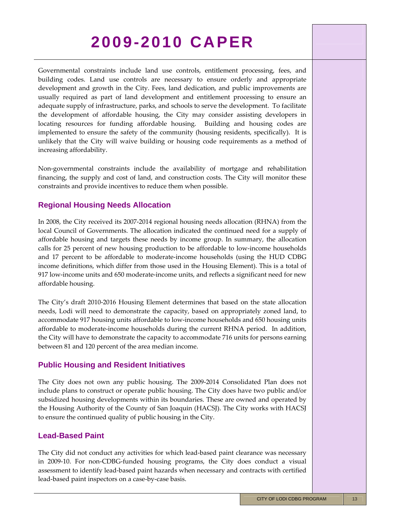Governmental constraints include land use controls, entitlement processing, fees, and building codes. Land use controls are necessary to ensure orderly and appropriate development and growth in the City. Fees, land dedication, and public improvements are usually required as part of land development and entitlement processing to ensure an adequate supply of infrastructure, parks, and schools to serve the development. To facilitate the development of affordable housing, the City may consider assisting developers in locating resources for funding affordable housing. Building and housing codes are implemented to ensure the safety of the community (housing residents, specifically). It is unlikely that the City will waive building or housing code requirements as a method of increasing affordability.

Non‐governmental constraints include the availability of mortgage and rehabilitation financing, the supply and cost of land, and construction costs. The City will monitor these constraints and provide incentives to reduce them when possible.

### **Regional Housing Needs Allocation**

In 2008, the City received its 2007‐2014 regional housing needs allocation (RHNA) from the local Council of Governments. The allocation indicated the continued need for a supply of affordable housing and targets these needs by income group. In summary, the allocation calls for 25 percent of new housing production to be affordable to low-income households and 17 percent to be affordable to moderate‐income households (using the HUD CDBG income definitions, which differ from those used in the Housing Element). This is a total of 917 low-income units and 650 moderate-income units, and reflects a significant need for new affordable housing.

The City's draft 2010‐2016 Housing Element determines that based on the state allocation needs, Lodi will need to demonstrate the capacity, based on appropriately zoned land, to accommodate 917 housing units affordable to low‐income households and 650 housing units affordable to moderate‐income households during the current RHNA period. In addition, the City will have to demonstrate the capacity to accommodate 716 units for persons earning between 81 and 120 percent of the area median income.

### **Public Housing and Resident Initiatives**

The City does not own any public housing. The 2009‐2014 Consolidated Plan does not include plans to construct or operate public housing. The City does have two public and/or subsidized housing developments within its boundaries. These are owned and operated by the Housing Authority of the County of San Joaquin (HACSJ). The City works with HACSJ to ensure the continued quality of public housing in the City.

### **Lead-Based Paint**

The City did not conduct any activities for which lead-based paint clearance was necessary in 2009‐10. For non‐CDBG‐funded housing programs, the City does conduct a visual assessment to identify lead‐based paint hazards when necessary and contracts with certified lead‐based paint inspectors on a case‐by‐case basis.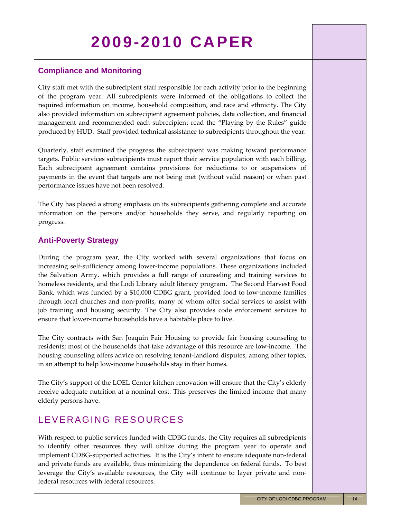### **Compliance and Monitoring**

City staff met with the subrecipient staff responsible for each activity prior to the beginning of the program year. All subrecipients were informed of the obligations to collect the required information on income, household composition, and race and ethnicity. The City also provided information on subrecipient agreement policies, data collection, and financial management and recommended each subrecipient read the "Playing by the Rules" guide produced by HUD. Staff provided technical assistance to subrecipients throughout the year.

Quarterly, staff examined the progress the subrecipient was making toward performance targets. Public services subrecipients must report their service population with each billing. Each subrecipient agreement contains provisions for reductions to or suspensions of payments in the event that targets are not being met (without valid reason) or when past performance issues have not been resolved.

The City has placed a strong emphasis on its subrecipients gathering complete and accurate information on the persons and/or households they serve, and regularly reporting on progress.

### **Anti-Poverty Strategy**

During the program year, the City worked with several organizations that focus on increasing self‐sufficiency among lower‐income populations. These organizations included the Salvation Army, which provides a full range of counseling and training services to homeless residents, and the Lodi Library adult literacy program. The Second Harvest Food Bank, which was funded by a \$10,000 CDBG grant, provided food to low‐income families through local churches and non‐profits, many of whom offer social services to assist with job training and housing security. The City also provides code enforcement services to ensure that lower-income households have a habitable place to live.

The City contracts with San Joaquin Fair Housing to provide fair housing counseling to residents; most of the households that take advantage of this resource are low-income. The housing counseling offers advice on resolving tenant‐landlord disputes, among other topics, in an attempt to help low‐income households stay in their homes.

The City's support of the LOEL Center kitchen renovation will ensure that the City's elderly receive adequate nutrition at a nominal cost. This preserves the limited income that many elderly persons have.

### LEVERAGING RESOURCES

With respect to public services funded with CDBG funds, the City requires all subrecipients to identify other resources they will utilize during the program year to operate and implement CDBG-supported activities. It is the City's intent to ensure adequate non-federal and private funds are available, thus minimizing the dependence on federal funds. To best leverage the City's available resources, the City will continue to layer private and nonfederal resources with federal resources.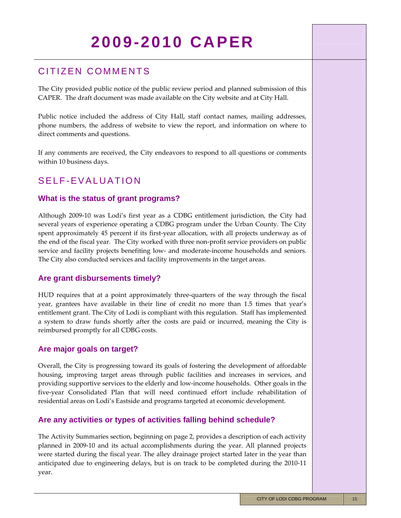### CITIZEN COMMENTS

The City provided public notice of the public review period and planned submission of this CAPER. The draft document was made available on the City website and at City Hall.

Public notice included the address of City Hall, staff contact names, mailing addresses, phone numbers, the address of website to view the report, and information on where to direct comments and questions.

If any comments are received, the City endeavors to respond to all questions or comments within 10 business days.

### SELF-EVALUATION

### **What is the status of grant programs?**

Although 2009‐10 was Lodi's first year as a CDBG entitlement jurisdiction, the City had several years of experience operating a CDBG program under the Urban County. The City spent approximately 45 percent if its first-year allocation, with all projects underway as of the end of the fiscal year. The City worked with three non-profit service providers on public service and facility projects benefiting low‐ and moderate‐income households and seniors. The City also conducted services and facility improvements in the target areas.

### **Are grant disbursements timely?**

HUD requires that at a point approximately three‐quarters of the way through the fiscal year, grantees have available in their line of credit no more than 1.5 times that year's entitlement grant. The City of Lodi is compliant with this regulation. Staff has implemented a system to draw funds shortly after the costs are paid or incurred, meaning the City is reimbursed promptly for all CDBG costs.

### **Are major goals on target?**

Overall, the City is progressing toward its goals of fostering the development of affordable housing, improving target areas through public facilities and increases in services, and providing supportive services to the elderly and low‐income households. Other goals in the five‐year Consolidated Plan that will need continued effort include rehabilitation of residential areas on Lodi's Eastside and programs targeted at economic development.

### **Are any activities or types of activities falling behind schedule?**

The Activity Summaries section, beginning on page 2, provides a description of each activity planned in 2009‐10 and its actual accomplishments during the year. All planned projects were started during the fiscal year. The alley drainage project started later in the year than anticipated due to engineering delays, but is on track to be completed during the 2010‐11 year.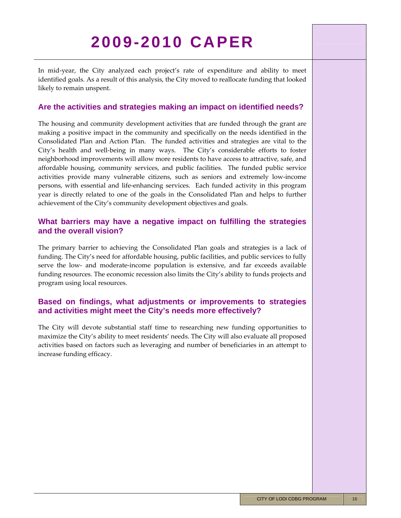In mid-year, the City analyzed each project's rate of expenditure and ability to meet identified goals. As a result of this analysis, the City moved to reallocate funding that looked likely to remain unspent.

### **Are the activities and strategies making an impact on identified needs?**

The housing and community development activities that are funded through the grant are making a positive impact in the community and specifically on the needs identified in the Consolidated Plan and Action Plan. The funded activities and strategies are vital to the City's health and well-being in many ways. The City's considerable efforts to foster neighborhood improvements will allow more residents to have access to attractive, safe, and affordable housing, community services, and public facilities. The funded public service activities provide many vulnerable citizens, such as seniors and extremely low‐income persons, with essential and life‐enhancing services. Each funded activity in this program year is directly related to one of the goals in the Consolidated Plan and helps to further achievement of the City's community development objectives and goals.

### **What barriers may have a negative impact on fulfilling the strategies and the overall vision?**

The primary barrier to achieving the Consolidated Plan goals and strategies is a lack of funding. The City's need for affordable housing, public facilities, and public services to fully serve the low- and moderate-income population is extensive, and far exceeds available funding resources. The economic recession also limits the City's ability to funds projects and program using local resources.

### **Based on findings, what adjustments or improvements to strategies and activities might meet the City's needs more effectively?**

The City will devote substantial staff time to researching new funding opportunities to maximize the City's ability to meet residents' needs. The City will also evaluate all proposed activities based on factors such as leveraging and number of beneficiaries in an attempt to increase funding efficacy.